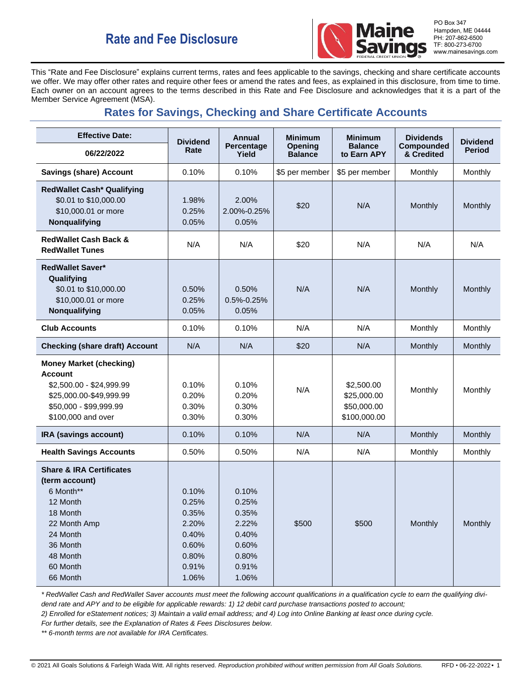

PO Box 347 Hampden, ME 04444 PH: 207-862-6500 TF: 800-273-6700 www.mainesavings.com

This "Rate and Fee Disclosure" explains current terms, rates and fees applicable to the savings, checking and share certificate accounts we offer. We may offer other rates and require other fees or amend the rates and fees, as explained in this disclosure, from time to time. Each owner on an account agrees to the terms described in this Rate and Fee Disclosure and acknowledges that it is a part of the Member Service Agreement (MSA).

# **Rates for Savings, Checking and Share Certificate Accounts**

| <b>Effective Date:</b>                                                                                                                                                 | <b>Dividend</b><br>Rate                                                       | <b>Annual</b><br>Percentage<br>Yield                                          | <b>Minimum</b><br>Opening<br><b>Balance</b> | <b>Minimum</b><br><b>Balance</b><br>to Earn APY          | <b>Dividends</b><br>Compounded<br>& Credited | <b>Dividend</b><br><b>Period</b> |
|------------------------------------------------------------------------------------------------------------------------------------------------------------------------|-------------------------------------------------------------------------------|-------------------------------------------------------------------------------|---------------------------------------------|----------------------------------------------------------|----------------------------------------------|----------------------------------|
| 06/22/2022                                                                                                                                                             |                                                                               |                                                                               |                                             |                                                          |                                              |                                  |
| <b>Savings (share) Account</b>                                                                                                                                         | 0.10%                                                                         | 0.10%                                                                         | \$5 per member                              | \$5 per member                                           | Monthly                                      | Monthly                          |
| <b>RedWallet Cash* Qualifying</b><br>\$0.01 to \$10,000.00<br>\$10,000.01 or more<br>Nonqualifying                                                                     | 1.98%<br>0.25%<br>0.05%                                                       | 2.00%<br>2.00%-0.25%<br>0.05%                                                 | \$20                                        | N/A                                                      | Monthly                                      | Monthly                          |
| <b>RedWallet Cash Back &amp;</b><br><b>RedWallet Tunes</b>                                                                                                             | N/A                                                                           | N/A                                                                           | \$20                                        | N/A                                                      | N/A                                          | N/A                              |
| <b>RedWallet Saver*</b><br>Qualifying<br>\$0.01 to \$10,000.00<br>\$10,000.01 or more<br>Nonqualifying                                                                 | 0.50%<br>0.25%<br>0.05%                                                       | 0.50%<br>$0.5\% - 0.25\%$<br>0.05%                                            | N/A                                         | N/A                                                      | Monthly                                      | Monthly                          |
| <b>Club Accounts</b>                                                                                                                                                   | 0.10%                                                                         | 0.10%                                                                         | N/A                                         | N/A                                                      | Monthly                                      | Monthly                          |
| <b>Checking (share draft) Account</b>                                                                                                                                  | N/A                                                                           | N/A                                                                           | \$20                                        | N/A                                                      | Monthly                                      | Monthly                          |
| <b>Money Market (checking)</b><br><b>Account</b><br>\$2,500.00 - \$24,999.99<br>\$25,000.00-\$49,999.99<br>\$50,000 - \$99,999.99<br>\$100,000 and over                | 0.10%<br>0.20%<br>0.30%<br>0.30%                                              | 0.10%<br>0.20%<br>0.30%<br>0.30%                                              | N/A                                         | \$2,500.00<br>\$25,000.00<br>\$50,000.00<br>\$100,000.00 | Monthly                                      | Monthly                          |
| IRA (savings account)                                                                                                                                                  | 0.10%                                                                         | 0.10%                                                                         | N/A                                         | N/A                                                      | Monthly                                      | Monthly                          |
| <b>Health Savings Accounts</b>                                                                                                                                         | 0.50%                                                                         | 0.50%                                                                         | N/A                                         | N/A                                                      | Monthly                                      | Monthly                          |
| <b>Share &amp; IRA Certificates</b><br>(term account)<br>6 Month**<br>12 Month<br>18 Month<br>22 Month Amp<br>24 Month<br>36 Month<br>48 Month<br>60 Month<br>66 Month | 0.10%<br>0.25%<br>0.35%<br>2.20%<br>0.40%<br>0.60%<br>0.80%<br>0.91%<br>1.06% | 0.10%<br>0.25%<br>0.35%<br>2.22%<br>0.40%<br>0.60%<br>0.80%<br>0.91%<br>1.06% | \$500                                       | \$500                                                    | Monthly                                      | Monthly                          |

*\* RedWallet Cash and RedWallet Saver accounts must meet the following account qualifications in a qualification cycle to earn the qualifying dividend rate and APY and to be eligible for applicable rewards: 1) 12 debit card purchase transactions posted to account;*

*2) Enrolled for eStatement notices; 3) Maintain a valid email address; and 4) Log into Online Banking at least once during cycle.* 

*For further details, see the Explanation of Rates & Fees Disclosures below.*

*\*\* 6-month terms are not available for IRA Certificates.*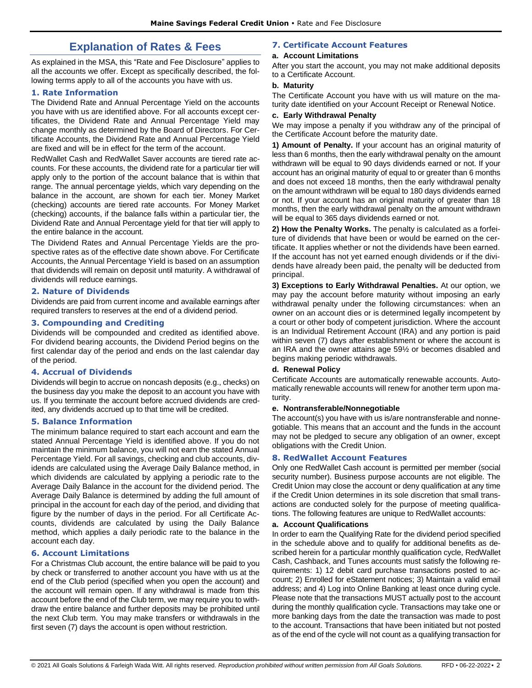## **Explanation of Rates & Fees**

As explained in the MSA, this "Rate and Fee Disclosure" applies to all the accounts we offer. Except as specifically described, the following terms apply to all of the accounts you have with us.

## **1. Rate Information**

The Dividend Rate and Annual Percentage Yield on the accounts you have with us are identified above. For all accounts except certificates, the Dividend Rate and Annual Percentage Yield may change monthly as determined by the Board of Directors. For Certificate Accounts, the Dividend Rate and Annual Percentage Yield are fixed and will be in effect for the term of the account.

RedWallet Cash and RedWallet Saver accounts are tiered rate accounts. For these accounts, the dividend rate for a particular tier will apply only to the portion of the account balance that is within that range. The annual percentage yields, which vary depending on the balance in the account, are shown for each tier. Money Market (checking) accounts are tiered rate accounts. For Money Market (checking) accounts, if the balance falls within a particular tier, the Dividend Rate and Annual Percentage yield for that tier will apply to the entire balance in the account.

The Dividend Rates and Annual Percentage Yields are the prospective rates as of the effective date shown above. For Certificate Accounts, the Annual Percentage Yield is based on an assumption that dividends will remain on deposit until maturity. A withdrawal of dividends will reduce earnings.

## **2. Nature of Dividends**

Dividends are paid from current income and available earnings after required transfers to reserves at the end of a dividend period.

## **3. Compounding and Crediting**

Dividends will be compounded and credited as identified above. For dividend bearing accounts, the Dividend Period begins on the first calendar day of the period and ends on the last calendar day of the period.

## **4. Accrual of Dividends**

Dividends will begin to accrue on noncash deposits (e.g., checks) on the business day you make the deposit to an account you have with us. If you terminate the account before accrued dividends are credited, any dividends accrued up to that time will be credited.

## **5. Balance Information**

The minimum balance required to start each account and earn the stated Annual Percentage Yield is identified above. If you do not maintain the minimum balance, you will not earn the stated Annual Percentage Yield. For all savings, checking and club accounts, dividends are calculated using the Average Daily Balance method, in which dividends are calculated by applying a periodic rate to the Average Daily Balance in the account for the dividend period. The Average Daily Balance is determined by adding the full amount of principal in the account for each day of the period, and dividing that figure by the number of days in the period. For all Certificate Accounts, dividends are calculated by using the Daily Balance method, which applies a daily periodic rate to the balance in the account each day.

## **6. Account Limitations**

For a Christmas Club account, the entire balance will be paid to you by check or transferred to another account you have with us at the end of the Club period (specified when you open the account) and the account will remain open. If any withdrawal is made from this account before the end of the Club term, we may require you to withdraw the entire balance and further deposits may be prohibited until the next Club term. You may make transfers or withdrawals in the first seven (7) days the account is open without restriction.

## **7. Certificate Account Features**

## **a. Account Limitations**

After you start the account, you may not make additional deposits to a Certificate Account.

## **b. Maturity**

The Certificate Account you have with us will mature on the maturity date identified on your Account Receipt or Renewal Notice.

## **c. Early Withdrawal Penalty**

We may impose a penalty if you withdraw any of the principal of the Certificate Account before the maturity date.

**1) Amount of Penalty.** If your account has an original maturity of less than 6 months, then the early withdrawal penalty on the amount withdrawn will be equal to 90 days dividends earned or not. If your account has an original maturity of equal to or greater than 6 months and does not exceed 18 months, then the early withdrawal penalty on the amount withdrawn will be equal to 180 days dividends earned or not. If your account has an original maturity of greater than 18 months, then the early withdrawal penalty on the amount withdrawn will be equal to 365 days dividends earned or not.

**2) How the Penalty Works.** The penalty is calculated as a forfeiture of dividends that have been or would be earned on the certificate. It applies whether or not the dividends have been earned. If the account has not yet earned enough dividends or if the dividends have already been paid, the penalty will be deducted from principal.

**3) Exceptions to Early Withdrawal Penalties.** At our option, we may pay the account before maturity without imposing an early withdrawal penalty under the following circumstances: when an owner on an account dies or is determined legally incompetent by a court or other body of competent jurisdiction. Where the account is an Individual Retirement Account (IRA) and any portion is paid within seven (7) days after establishment or where the account is an IRA and the owner attains age 59½ or becomes disabled and begins making periodic withdrawals.

## **d. Renewal Policy**

Certificate Accounts are automatically renewable accounts. Automatically renewable accounts will renew for another term upon maturity.

#### **e. Nontransferable/Nonnegotiable**

The account(s) you have with us is/are nontransferable and nonnegotiable. This means that an account and the funds in the account may not be pledged to secure any obligation of an owner, except obligations with the Credit Union.

## **8. RedWallet Account Features**

Only one RedWallet Cash account is permitted per member (social security number). Business purpose accounts are not eligible. The Credit Union may close the account or deny qualification at any time if the Credit Union determines in its sole discretion that small transactions are conducted solely for the purpose of meeting qualifications. The following features are unique to RedWallet accounts:

#### **a. Account Qualifications**

In order to earn the Qualifying Rate for the dividend period specified in the schedule above and to qualify for additional benefits as described herein for a particular monthly qualification cycle, RedWallet Cash, Cashback, and Tunes accounts must satisfy the following requirements: 1) 12 debit card purchase transactions posted to account; 2) Enrolled for eStatement notices; 3) Maintain a valid email address; and 4) Log into Online Banking at least once during cycle. Please note that the transactions MUST actually post to the account during the monthly qualification cycle. Transactions may take one or more banking days from the date the transaction was made to post to the account. Transactions that have been initiated but not posted as of the end of the cycle will not count as a qualifying transaction for